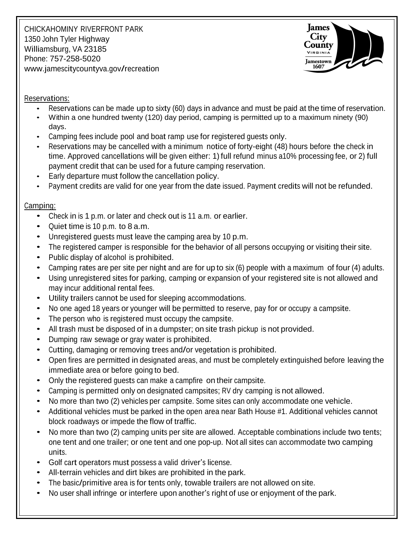CHICKAHOMINY RIVERFRONT PARK 1350 John Tyler Highway Williamsburg, VA 23185 Phone: 757-258-5020 [www.jamescitycountyva.gov/recreation](http://www.jamescitycountyva.gov/recreation)



#### Reservations:

- Reservations can be made up to sixty (60) days in advance and must be paid at the time of reservation.
- Within a one hundred twenty (120) day period, camping is permitted up to a maximum ninety (90) days.
- Camping fees include pool and boat ramp use for registered guests only.
- Reservations may be cancelled with a minimum notice of forty-eight (48) hours before the check in time. Approved cancellations will be given either: 1) full refund minus a10% processing fee, or 2) full payment credit that can be used for a future camping reservation.
- Early departure must follow the cancellation policy.
- Payment credits are valid for one year from the date issued. Payment credits will not be refunded.

# Camping:

- Check in is 1 p.m. or later and check out is <sup>11</sup> a.m. or earlier.
- Quiet time is <sup>10</sup> p.m. to 8 a.m.
- Unregistered guests must leave the camping area by 10 p.m.
- The registered camper is responsible for the behavior of all persons occupying or visiting their site.
- Public display of alcohol is prohibited.
- Camping rates are per site per night and are for up to six (6) people with <sup>a</sup> maximum of four (4) adults.
- Using unregistered sites for parking, camping or expansion of your registered site is not allowed and may incur additional rental fees.
- Utility trailers cannot be used for sleeping accommodations.
- No one aged <sup>18</sup> years or younger will be permitted to reserve, pay for or occupy <sup>a</sup> campsite.
- The person who is registered must occupy the campsite.
- All trash must be disposed of in <sup>a</sup> dumpster; on site trash pickup is not provided.
- Dumping raw sewage or gray water is prohibited.
- Cutting, damaging or removing trees and/or vegetation is prohibited.
- Open fires are permitted in designated areas, and must be completely extinguished before leaving the immediate area or before going to bed.
- Only the registered guests can make <sup>a</sup> campfire on their campsite.
- Camping is permitted only on designated campsites; RV dry camping is not allowed.
- No more than two (2) vehicles per campsite. Some sites can only accommodate one vehicle.
- Additional vehicles must be parked in the open area near Bath House #1. Additional vehicles cannot block roadways or impede the flow of traffic.
- No more than two (2) camping units per site are allowed. Acceptable combinations include two tents; one tent and one trailer; or one tent and one pop-up. Not all sites can accommodate two camping units.
- Golf cart operators must possess <sup>a</sup> valid driver's license.
- All-terrain vehicles and dirt bikes are prohibited in the park.
- The basic/primitive area is for tents only, towable trailers are not allowed on site.
- No user shall infringe or interfere upon another's right of use or enjoyment of the park.